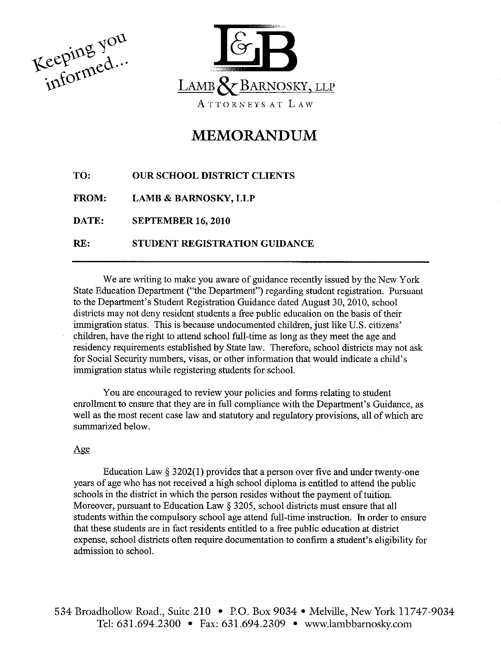Keeping you



# MEMORANDUM

| TO:          | <b>OUR SCHOOL DISTRICT CLIENTS</b> |
|--------------|------------------------------------|
| <b>FROM:</b> | <b>LAMB &amp; BARNOSKY, LLP</b>    |
| DATE:        | <b>SEPTEMBER 16, 2010</b>          |
| RE:          | STUDENT REGISTRATION GUIDANCE      |

We are writing to make you aware of guidance recently issued by the New York State Education Department ("the Department") regarding student registration. Pursuant to the Department's Student Registration Guidance dated August 30, 2010, school districts may not deny resident students a free public education on the basis of their immigration status. This is because undocumented children, just like U.S. citizens' children, have the rìght to attend school full-time as long as they meet the age and residency requirements established by State iaw. Therefore, school districts may not ask for Social Security numbers, visas, or other information that would indicate a child's immigration status while registering students for school.

You are encouraged to review your policies and forms relating to student enrollment to ensure that they are in full compliance with the Department's Guidance, as well as the most recent case law and statutory and regulatory provisions, all of which are summarized below.

# Age

Education Law  $\S 3202(1)$  provides that a person over five and under twenty-one years of age who has not received a high school diploma is entitled to attend the public schools in the district in which the person resides without the payment of tuition. Moreover, pursuant to Education Law \$ 3205, school districts must ensure that all students within the compulsory school age attend full-time instruction. In order to ensure that these students are in fact residents entitled to a free public education at district expense, school districts often require documentation to confirm a student's eligibilìty for admission to school.

534 Broadhollow Road., Suite 210 . P.O. Box 9034 . Melville, New York 11747-9034 Tel: 631.694.2300 · Fax: 631.694.2309 · www.lambbarnosky.com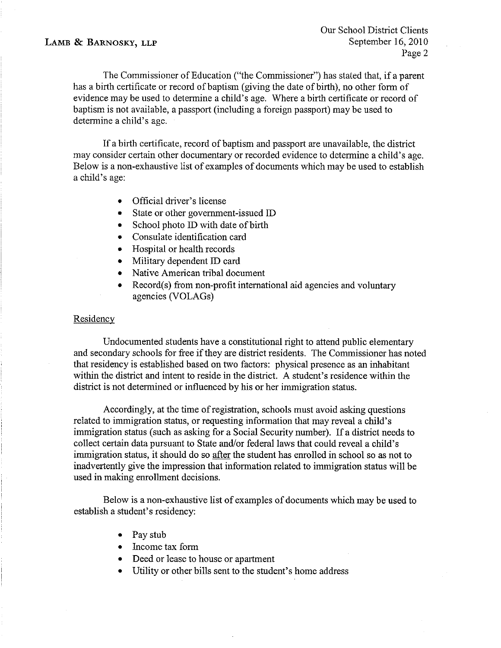The Commissioner of Education ("the Commissioner") has stated that, if a parent has a birth certificate or record of baptism (giving the date of birth), no other form of evidence may be used to determine a child's age. Where a birth certificate or record of baptism is not available, a passport (ìncluding a foreign passport) may be used to determine a child's age.

If a birth certificate, record of baptism and passport are unavailable, the district may consider certain other documentary or recorded evidence to determine a child's age. Below is a non-exhaustive list of examples of documents which may be used to establish a child's age:

- . Official driver's license
- State or other government-issued ID
- School photo ID with date of birth
- Consulate identification card
- Hospital or health records
- o Military dependent ID card
- Native American tribal document
- Record(s) from non-profit international aid agencies and voluntary agencies (VOLAGs)

# **Residency**

Undocumented students have a constitutional right to attend public elementary and secondary schools for free if they are district residents. The Commissioner has noted that residency is established based on two factors: physical presence as an inhabìtant within the district and intent to reside in the district. A student's residence withìn the district is not determined or influenced by his or her immigration status.

Accordingly, at the time of registration, schools must avoid asking questions ¡elated to immigration status, or requesting information that may reveal a child's immigration status (such as asking for a Social Security number). If a district needs to collect certain data pursuant to State and/or federal laws that could reveal a child's immigration status, it should do so after the student has enrolled in school so as not to inadvertently give the impression that information related to immigration status will be used in making enrollment decisions.

Below is a non-exhaustive list of examples of documents which may be used to establish a student's residency:

- . Pay stub
- Income tax form
- Deed or lease to house or apartment
- o Utility or other bil1s sent to the student's home address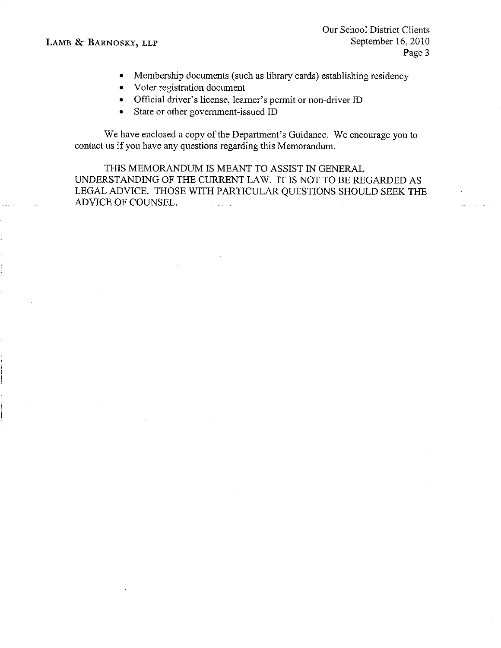## LAMB & BARNOSKY, LLP

- Membership documents (such as library cards) establishing residency
- Voter registration document
- . Official driver's license, leamer's permit or non-driver ID
- State or other government-issued ID

We have enclosed a copy of the Department's Guidance. We encourage you to contact us if you have any questions regarding this Memorandum.

THIS MEMORANDUM IS MEANT TO ASSIST IN GENERAL UNDERSTANDING OF THE CURRENT LAW. IT IS NOT TO BE REGARDED AS LEGAL ADVICE, THOSE WITH PARTICULAR QUESTIONS SHOULD SEEK THE ADVICE OF COUNSEL.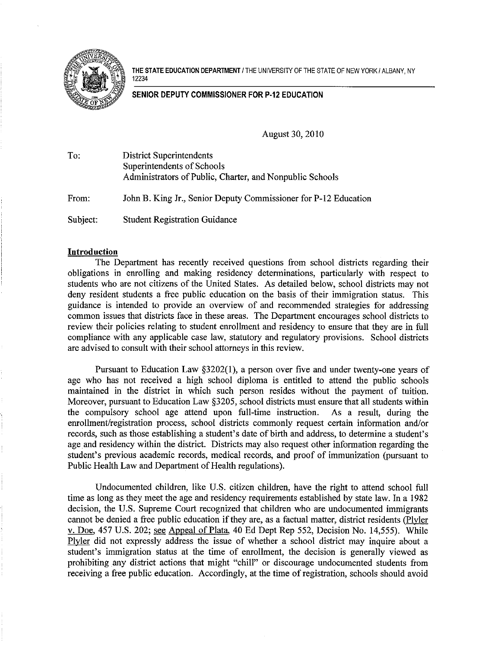Æ ffit of the state of the state of

THE STATE EDUCATION DEPARTMENT / THE UNIVERSITY OF THE STATE OF NEW YORK / ALBANY, NY 12234

## SENIOR DEPUTY COMMISSIONER FOR P.I2 EDUCATION

August 30, 2010

| To:      | <b>District Superintendents</b><br>Superintendents of Schools<br>Administrators of Public, Charter, and Nonpublic Schools |
|----------|---------------------------------------------------------------------------------------------------------------------------|
| From:    | John B. King Jr., Senior Deputy Commissioner for P-12 Education                                                           |
| Subject: | <b>Student Registration Guidance</b>                                                                                      |

### Introduction

The Department has recently received questions from school districts regarding their obligations in enrolling and making residency determinations, particularly with respect to students who are not citizens of the United States. As detailed below, school districts may not deny resident students a free public education on the basis of their immigration status. This guidance is intended to provide an overview of and recommended strategies for addressing common issues that districts face in these areas. The Department encourages school districts to review their policies relating to student enrollment and residency to ensure that they are in full compliance with any applicable case law, statutory and regulatory provisions. School districts are advised to consult with their school attomeys in this review.

Pursuant to Education Law \$3202(1), a person over five and under twenty-one years of age who has not received a high school diploma is entitled to attend the public schools maintained in the district in which such person resides without the payment of tuition. Moreover, pursuant to Education Law §3205, school districts must ensure that all students within the compulsory school age attend upon full-time instruction. As a result, during the the compulsory school age attend upon full-time instruction. enrollment/registration process, school districts commonly request certain information and/or records, such as those establishing a student's date of birth and address, to determine a student's age and residency within the district. Districts may also request other information regarding the student's previous academic records, medical records, and proof of immunization (pursuant to Public Health Law and Department of Health regulations).

Undocumented children, like U.S. citizen children, have the right to attend school full time as long as they meet the age and residency requirements established by state law. In a 1982 decision, the U.S. Supreme Court recognized that children who are undocumented immigrants cannot be denied a free public education if they are, as a factual matter, district residents (Plyler v.Doe,457 U.S. 202; see Appeal of Plata. 40 Ed Dept Rep 552, Decision No. 14,555). While Plvler did not expressly address the issue of whether a school district may inquire about a student's immigration status at the time of enrollment, the decision is generally viewed as prohibiting any district actions that might "chill" or discourage undocumented students from receiving a free public education. Accordingly, at the time of registration, schools should avoid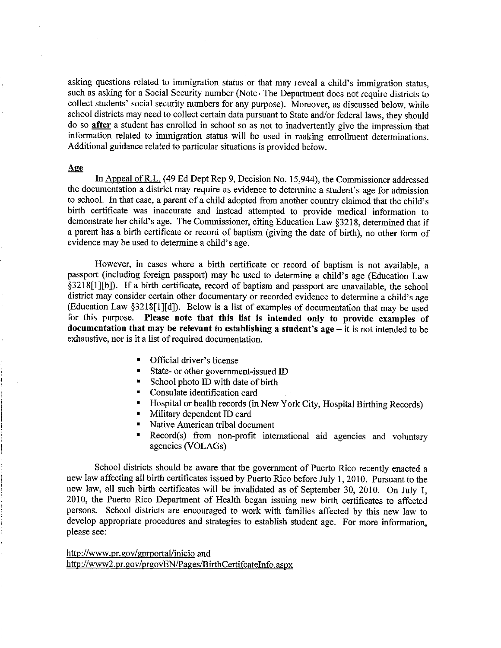asking questions related to immigration status or that may reveal a child's immigration status, such as asking for a Social Security number (Note- The Department does not require districts to collect students' social security numbers for any purpose). Moreover, as discussed below, while school districts may need to collect certain data pursuant to State and/or federal laws, they should do so after a student has enrolled in school so as not to inadvertently give the impression that information related to immigration status will be used in making enrollment determinations. Additional guidance related to particular situations is provided below.

## Aæ

In Appeal of R.L. (49 Ed Dept Rep 9, Decision No. 15,944), the Commissioner addressed the documentation a district may require as evidence to determine a student's age for admission to school. In that case, a parent of a child adopted from another country claimed that the child's birth certificate was inaccurate and instead attempted to provide medical information to demonstrate her child's age. The Commissioner, citing Education Law \$3218, determined that if a parent has a birth certificate or record of baptism (giving the date of birth), no other form of evidence may be used to determine a child's age.

However, in cases where a birth certificate or record of baptism is not available, <sup>a</sup> passport (including foreign passport) may be used to determine a child's age (Education Law \$3218[1][b]). If a birth certificate, record of baptism and passport are unavailable, the school district may consider certain other documentary or recorded evidence to determine a child's age (Education Law §3218[1][d]). Below is a list of examples of documentation that may be used for this purpose. Please note fhat this list is intended only to provide examples of documentation that may be relevant to establishing a student's  $age - it$  is not intended to be exhaustive, nor is it a list of required documentation.

- . Official driver's license
- State- or other government-issued ID
- . School photo ID with date of birth
- . Consulate identification card
- <sup>■</sup> Hospital or health records (in New York City, Hospital Birthing Records)
- . Military dependent ID card
- . Native American tribal document
- Record(s) from non-profit international aid agencies and voluntary agencies (VOLAGs)

School districts should be aware that the government of Puerto Rico recently enacted a new law affecting all birth certificates issued by Puerto Rico before July 1, 2010. Pursuant to the new law, all such birth certificates will be invalidated as of September 30, 2010. On July 1, 2010, the Puerto Rico Department of Health began issuing new birth certificates to affected persons. School districts are encouraged to work with families affected by this new law to develop appropriate procedures and strategies to establish student age. For more information, please see:

http://www.pr.gov/gprportal/inicio and http://www2.pr.gov/prgovEN/Pages/BirthCertifcateInfo.aspx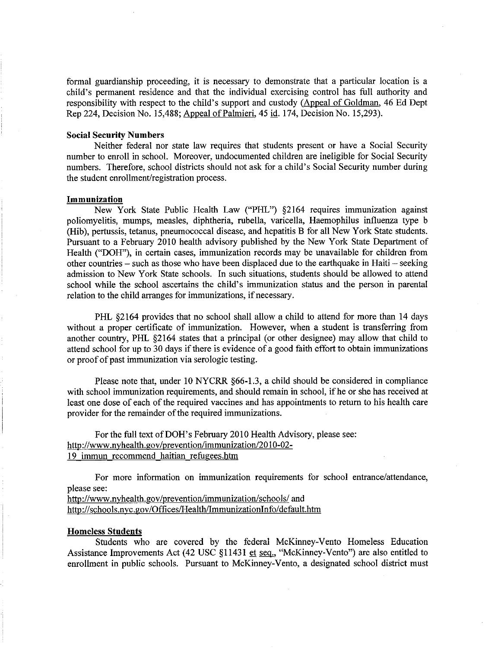formal guardianship proceeding, it is necessary to demonstrate that a particular location is <sup>a</sup> child's permanent residence and that the individual exercising control has full authority and responsibility with respect to the child's support and custody (Appeal of Goldman, 46 Ed Dept Rep 224, Decision No. 15,488; Appeal of Palmieri, 45 id. 174, Decision No. 15,293).

## Social Security Numbers

Neither federal nor state law requires that students present or have a Social Security number to enroll in school. Moreover, undocumented children are ineligible for Social Security numbers. Therefore, school districts should not ask for a child's Social Security number during the student enrollment/registration process.

#### Immunization

New York State Public Health Law ("PHL") §2164 requires immunization against poliomyelitis, mumps, measles, diphtheria, rubella, varicella, Haemophilus influenza type b (Hib), pertussis, tetanus, pneumococcal disease, and hepatitis B for all New York State students. Pursuant to a February 2010 health advisory published by the New York State Department of Health ("DOH"), in certain cases, immunization records may be unavailable for children from other countries – such as those who have been displaced due to the earthquake in Haiti – seeking admission to New York State schools. In such situations, students should be allowed to attend school while the school ascertains the child's immunization status and the person in parental relation to the child arranges for immunizations, if necessary.

PHL \$2164 provides that no school shall allow a child to attend for more than 14 days without a proper certificate of immunization. However, when a student is transferring from another country, PHL \$2164 states that a principal (or other designee) may allow that child to attend school for up to 30 days if there is evidence of a good faith effort to obtain immunizations or proof of past immunization via serologic testing.

Please note that, under 10 NYCRR  $\S66-1.3$ , a child should be considered in compliance with school immunization requirements, and should remain in school, if he or she has received at least one dose of each of the required vaccines and has appointments to return to his health care provider for the remainder of the required immunizations.

For the full text of DOH's February 2010 Health Advisory, please see: http://www.nyhealth.gov/prevention/immunization/2010-02-19 immun recommend haitian refugees.htm

For more information on immunization requirements for school entrance/attendance, please see:

http://www.nyhealth.gov/prevention/immunization/schools/ and http://schools.nyc.gov/Offices/Health/ImmunizationInfo/default.htm

#### Homeless Students

Students who are covered by the federal McKinney-Vento Homeless Education Assistance Improvements Act (42 USC \$11431 et seq., "McKinney-Vento") are also entitled to enrollment in public schools. Pursuant to McKinney-Vento, a designated school district must